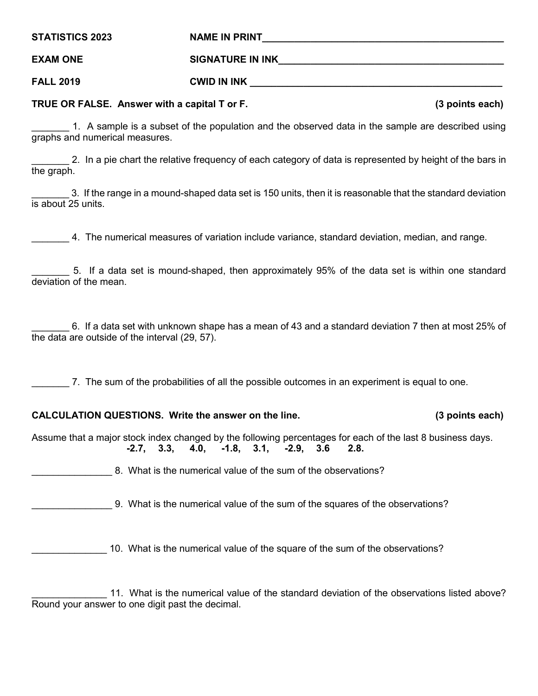**STATISTICS 2023 NAME IN PRINT\_\_\_\_\_\_\_\_\_\_\_\_\_\_\_\_\_\_\_\_\_\_\_\_\_\_\_\_\_\_\_\_\_\_\_\_\_\_\_\_\_\_\_\_\_ EXAM ONE SIGNATURE IN INK** 

**FALL 2019 CWID IN INK \_\_\_\_\_\_\_\_\_\_\_\_\_\_\_\_\_\_\_\_\_\_\_\_\_\_\_\_\_\_\_\_\_\_\_\_\_\_\_\_\_\_\_\_\_\_\_**

**TRUE OR FALSE. Answer with a capital T or F. (3 points each)**

1. A sample is a subset of the population and the observed data in the sample are described using graphs and numerical measures.

2. In a pie chart the relative frequency of each category of data is represented by height of the bars in the graph.

\_\_\_\_\_\_\_ 3. If the range in a mound-shaped data set is 150 units, then it is reasonable that the standard deviation is about 25 units.

\_\_\_\_\_\_\_ 4. The numerical measures of variation include variance, standard deviation, median, and range.

5. If a data set is mound-shaped, then approximately 95% of the data set is within one standard deviation of the mean.

\_\_\_\_\_\_\_ 6. If a data set with unknown shape has a mean of 43 and a standard deviation 7 then at most 25% of the data are outside of the interval (29, 57).

\_\_\_\_\_\_\_ 7. The sum of the probabilities of all the possible outcomes in an experiment is equal to one.

# **CALCULATION QUESTIONS. Write the answer on the line. (3 points each)**

Assume that a major stock index changed by the following percentages for each of the last 8 business days. **-2.7, 3.3, 4.0, -1.8, 3.1, -2.9, 3.6 2.8.**

8. What is the numerical value of the sum of the observations?

\_\_\_\_\_\_\_\_\_\_\_\_\_\_\_ 9. What is the numerical value of the sum of the squares of the observations?

10. What is the numerical value of the square of the sum of the observations?

11. What is the numerical value of the standard deviation of the observations listed above? Round your answer to one digit past the decimal.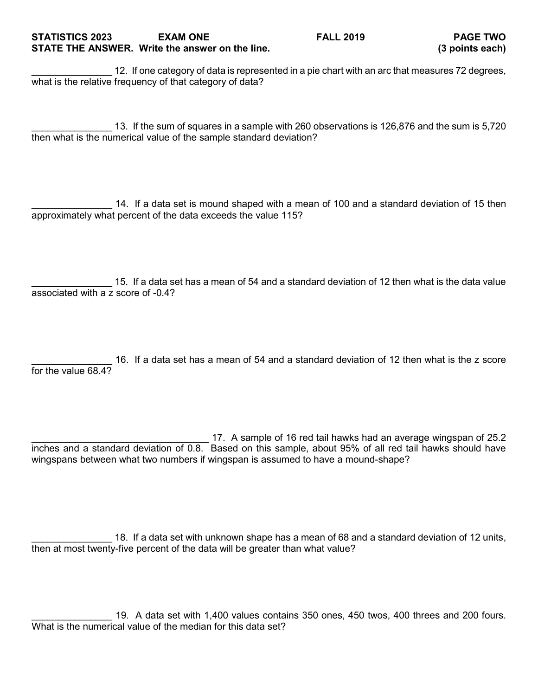## **STATISTICS 2023 EXAM ONE FALL 2019 PAGE TWO STATE THE ANSWER. Write the answer on the line. (3 points each)**

12. If one category of data is represented in a pie chart with an arc that measures 72 degrees, what is the relative frequency of that category of data?

\_\_\_\_\_\_\_\_\_\_\_\_\_\_\_ 13. If the sum of squares in a sample with 260 observations is 126,876 and the sum is 5,720 then what is the numerical value of the sample standard deviation?

14. If a data set is mound shaped with a mean of 100 and a standard deviation of 15 then approximately what percent of the data exceeds the value 115?

15. If a data set has a mean of 54 and a standard deviation of 12 then what is the data value associated with a z score of -0.4?

16. If a data set has a mean of 54 and a standard deviation of 12 then what is the z score for the value 68.4?

17. A sample of 16 red tail hawks had an average wingspan of 25.2 inches and a standard deviation of 0.8. Based on this sample, about 95% of all red tail hawks should have wingspans between what two numbers if wingspan is assumed to have a mound-shape?

\_\_\_\_\_\_\_\_\_\_\_\_\_\_\_ 18. If a data set with unknown shape has a mean of 68 and a standard deviation of 12 units, then at most twenty-five percent of the data will be greater than what value?

\_\_\_\_\_\_\_\_\_\_\_\_\_\_\_ 19. A data set with 1,400 values contains 350 ones, 450 twos, 400 threes and 200 fours. What is the numerical value of the median for this data set?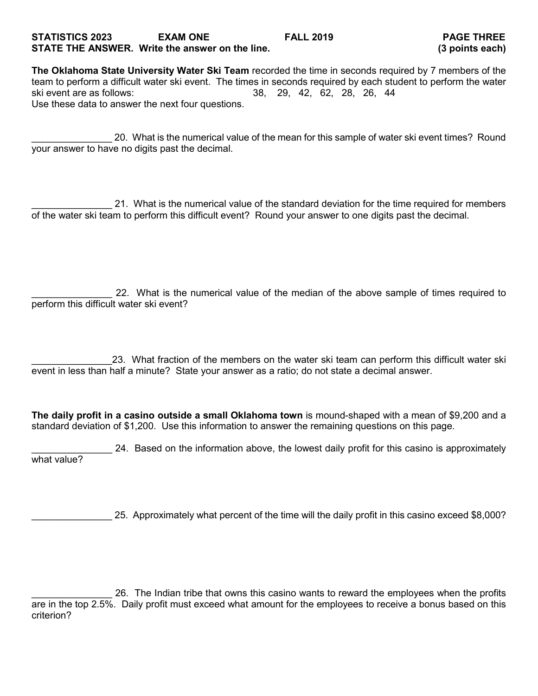## **STATISTICS 2023 EXAM ONE FALL 2019 PAGE THREE STATE THE ANSWER. Write the answer on the line. (3 points each)**

**The Oklahoma State University Water Ski Team** recorded the time in seconds required by 7 members of the team to perform a difficult water ski event. The times in seconds required by each student to perform the water ski event are as follows: 38, 29, 42, 62, 28, 26, 44 Use these data to answer the next four questions.

\_\_\_\_\_\_\_\_\_\_\_\_\_\_\_ 20. What is the numerical value of the mean for this sample of water ski event times? Round your answer to have no digits past the decimal.

21. What is the numerical value of the standard deviation for the time required for members of the water ski team to perform this difficult event? Round your answer to one digits past the decimal.

22. What is the numerical value of the median of the above sample of times required to perform this difficult water ski event?

\_\_\_\_\_\_\_\_\_\_\_\_\_\_\_23. What fraction of the members on the water ski team can perform this difficult water ski event in less than half a minute? State your answer as a ratio; do not state a decimal answer.

**The daily profit in a casino outside a small Oklahoma town** is mound-shaped with a mean of \$9,200 and a standard deviation of \$1,200. Use this information to answer the remaining questions on this page.

24. Based on the information above, the lowest daily profit for this casino is approximately what value?

\_\_\_\_\_\_\_\_\_\_\_\_\_\_\_ 25. Approximately what percent of the time will the daily profit in this casino exceed \$8,000?

\_\_\_\_\_\_\_\_\_\_\_\_\_\_\_ 26. The Indian tribe that owns this casino wants to reward the employees when the profits are in the top 2.5%. Daily profit must exceed what amount for the employees to receive a bonus based on this criterion?